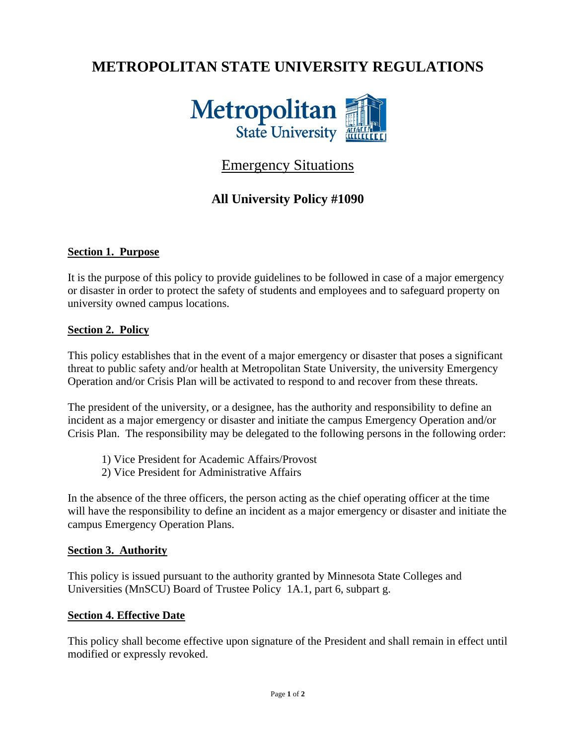# **METROPOLITAN STATE UNIVERSITY REGULATIONS**



# Emergency Situations

# **All University Policy #1090**

### **Section 1. Purpose**

It is the purpose of this policy to provide guidelines to be followed in case of a major emergency or disaster in order to protect the safety of students and employees and to safeguard property on university owned campus locations.

#### **Section 2. Policy**

This policy establishes that in the event of a major emergency or disaster that poses a significant threat to public safety and/or health at Metropolitan State University, the university Emergency Operation and/or Crisis Plan will be activated to respond to and recover from these threats.

The president of the university, or a designee, has the authority and responsibility to define an incident as a major emergency or disaster and initiate the campus Emergency Operation and/or Crisis Plan. The responsibility may be delegated to the following persons in the following order:

- 1) Vice President for Academic Affairs/Provost
- 2) Vice President for Administrative Affairs

In the absence of the three officers, the person acting as the chief operating officer at the time will have the responsibility to define an incident as a major emergency or disaster and initiate the campus Emergency Operation Plans.

#### **Section 3. Authority**

This policy is issued pursuant to the authority granted by Minnesota State Colleges and Universities (MnSCU) Board of Trustee Policy 1A.1, part 6, subpart g.

#### **Section 4. Effective Date**

This policy shall become effective upon signature of the President and shall remain in effect until modified or expressly revoked.